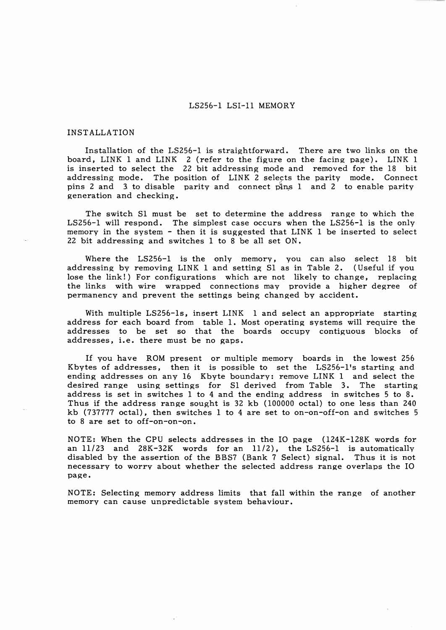## LS256-1 LSI-11 MEMORY

#### INSTALLATION

Installation of the LS256-1 is straightforward. There are two links on the board, LINK 1 and LINK 2 (refer to the figure on the facing page). LINK 1 is inserted to select the 22 bit addressing mode and removed for the 18 bit addressing mode. The position of LINK 2 selects the parity mode. Connect The position of LINK 2 selects the parity mode. Connect pins 2 and 3 to disable parity and connect pins 1 and 2 to enable parity generation and checking.

The switch SI must be set to determine the address range to which the LS256-1 will respond. The simplest case occurs when the LS256-1 is the only memory in the system - then it is suggested that LINK 1 be inserted to select 22 bit addressing and switches 1 to 8 be all set ON.

Where the LS256-1 is the only memory, you can also select 18 bit addressing by removing LINK 1 and setting SI as in Table 2. (Useful if you lose the link!) For configurations which are not likely to change, replacing the links with wire wrapped connections may provide a higher degree of permanency and prevent the settings being changed by accident.

With multiple LS256-1s, insert LINK 1 and select an appropriate starting address for each board from table 1. Most operating systems will require the addresses to be set so that the boards occupy contiguous blocks of addresses, i.e. there must be no gaps.

If you have ROM present or multiple memory boards in the lowest 256 Kbytes of addresses, then it is possible to set the LS256-1's starting and ending addresses on any 16 Kbyte boundary: remove LINK 1 and select the desired range using settings for SI derived from Table 3. The starting address is set in switches 1 to 4 and the ending address in switches 5 to 8. Thus if the address range sought is 32 kb (100000 octal) to one less than 240 kb (737777 octal), then switches 1 to 4 are set to on-on-off-on and switches 5 to 8 are set to off-on-on-on.

NOTE: When the CPU selects addresses in the 10 page (124K-128K words for an *11/23* and 28K-32K words for an *11/2),* the LS256-1 is automatically disabled by the assertion of the BBS7 (Bank 7 Select) signal. Thus it is not necessary to worry about whether the selected address range overlaps the 10 page.

NOTE: Selecting memory address limits that fall within the range of another memory can cause unpredictable system behaviour.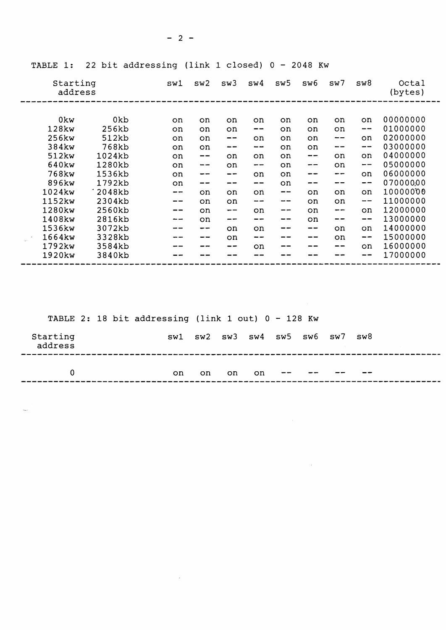| Starting<br>address |        |     | sw2   | sw3 | sw4       | sw5                      | sw6                      | sw7                      | sw8                      | Octal<br>(bytes) |
|---------------------|--------|-----|-------|-----|-----------|--------------------------|--------------------------|--------------------------|--------------------------|------------------|
|                     |        |     |       |     |           |                          |                          |                          |                          |                  |
| 0kw                 | 0kb    | on. | on    | on  | on.       | on.                      | on.                      | on                       | on                       | 00000000         |
| 128kw               | 256kb  | on  | on    | on  | --        | on                       | on                       | on                       | $\overline{\phantom{m}}$ | 01000000         |
| 256kw               | 512kb  | on  | on    | --  | <b>on</b> | on                       | on                       | $\overline{\phantom{m}}$ | on                       | 02000000         |
| 384kw               | 768kb  | on  | on    | --  | --        | on                       | on                       | --                       | $\overline{\phantom{m}}$ | 03000000         |
| 512kw               | 1024kb | on  | $- -$ | on  | on        | on                       | $\overline{\phantom{a}}$ | on                       | on                       | 04000000         |
| 640kw               | 1280kb | on  | --    | on  | --        | on                       | --                       | on                       | $\qquad \qquad -$        | 05000000         |
| 768kw               | 1536kb | on  | --    | --  | on        | on                       |                          | --                       | on                       | 06000000         |
| 896kw               | 1792kb | on  |       | --  | --        | on                       | --                       | --                       | $-\,-$                   | 07000000         |
| 1024kw              | 2048kb | --- | on    | on  | oń        | $\overline{\phantom{m}}$ | on                       | on                       | on                       | 10000000         |
| 1152kw              | 2304kb | --  | on    | on  | --        | --                       | on                       | on                       | $\overline{\phantom{m}}$ | 11000000         |
| 1280kw              | 2560kb | --  | on    | --  | on        | --                       | on                       | $-\!$ $\!-$              | on                       | 12000000         |
| 1408kw              | 2816kb | --  | on    | --  | --        | --                       | on                       | --                       | $\qquad \qquad -$        | 13000000         |
| 1536kw              | 3072kb |     | --    | on  | on        |                          | --                       | on                       | on                       | 14000000         |
| 1664kw              | 3328kb |     |       | on  | --        |                          | --                       | on                       | $\frac{1}{2}$            | 15000000         |
| 1792kw              | 3584kb |     |       | --  | on        |                          |                          | --                       | <b>on</b>                | 16000000         |
| 1920kw              | 3840kb |     |       |     |           |                          |                          |                          | --                       | 17000000         |

TABLE 1: 22 bit addressing (link 1 closed) 0 - 2048 Kw

| TABLE 2: 18 bit addressing (link 1 out) $0 - 128$ Kw |  |  |  |     |    |                                           |     |  |  |  |     |  |  |
|------------------------------------------------------|--|--|--|-----|----|-------------------------------------------|-----|--|--|--|-----|--|--|
| Starting<br>address                                  |  |  |  |     |    | $sw1$ $sw2$ $sw3$ $sw4$ $sw5$ $sw6$ $sw7$ |     |  |  |  | sw8 |  |  |
| 0                                                    |  |  |  | on. | on | on.                                       | on. |  |  |  |     |  |  |

 $\mathcal{L}^{\text{max}}_{\text{max}}$  , where  $\mathcal{L}^{\text{max}}_{\text{max}}$ 

 $\label{eq:2.1} \frac{1}{2} \sum_{i=1}^n \frac{1}{2} \sum_{j=1}^n \frac{1}{2} \sum_{j=1}^n \frac{1}{2} \sum_{j=1}^n \frac{1}{2} \sum_{j=1}^n \frac{1}{2} \sum_{j=1}^n \frac{1}{2} \sum_{j=1}^n \frac{1}{2} \sum_{j=1}^n \frac{1}{2} \sum_{j=1}^n \frac{1}{2} \sum_{j=1}^n \frac{1}{2} \sum_{j=1}^n \frac{1}{2} \sum_{j=1}^n \frac{1}{2} \sum_{j=1}^n \frac{$ 

 $\sim$ 

 $- 2 -$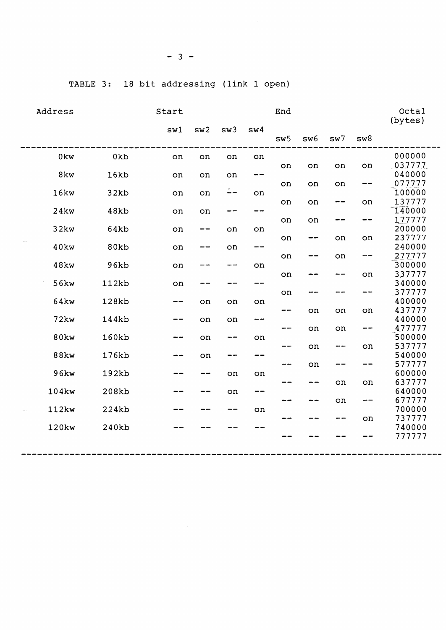| Address           | Start           |      |       |     |     |     |     | Octal<br>(bytes) |     |                  |
|-------------------|-----------------|------|-------|-----|-----|-----|-----|------------------|-----|------------------|
|                   |                 | sw1  | sw2   | sw3 | sw4 |     |     |                  |     |                  |
|                   |                 |      |       |     |     | sw5 | sw6 | sw7              | sw8 |                  |
| 0kw               | 0 <sub>kb</sub> | on   | on    | on  | on  |     |     |                  |     | 000000           |
|                   |                 |      |       |     |     | on  | on  | on               | on  | 037777           |
| 8kw               | 16kb            | on   | on    | on  | --  |     |     |                  |     | 040000           |
|                   |                 |      |       |     |     | on  | on  | on               | --  | 077777           |
| 16kw              | 32kb            | on   | on    | --  | on  |     |     |                  |     | 100000           |
| <b>24kw</b>       | 48kb            |      |       | --  | --  | on  | on  | $- -$            | on  | 137777<br>140000 |
|                   |                 | on   | on    |     |     | on  | on  |                  | --  | 177777           |
| 32kw              | 64kb            | on   | $- -$ | on  | on  |     |     |                  |     | 200000           |
|                   |                 |      |       |     |     | on  | --  | on               | on  | 237777           |
| 40kw              | 80kb            | on   |       | on  | --  |     |     |                  |     | 240000           |
|                   |                 |      |       |     |     | on  |     | on               | --  | 277777           |
| 48kw              | 96kb            | on   |       | --  | on  |     |     |                  |     | 300000           |
|                   |                 |      |       |     |     | on  |     |                  | on  | 337777           |
| 56kw              | 112kb           | on   |       | --  | --- |     |     |                  |     | 340000           |
|                   |                 |      |       |     |     | on  |     |                  | --  | 377777           |
| 64kw              | 128kb           | --   | on    | on  | on  |     |     |                  |     | 400000           |
|                   |                 |      |       |     |     | --  | on  | on               | on  | 437777           |
| <b>72kw</b>       | 144kb           | --   | on    | on  | --  |     |     |                  |     | 440000           |
|                   |                 |      |       |     |     | --  | on  | on               | --  | 477777           |
| 80kw              | 160kb           |      | on    | --  | on  |     |     |                  |     | 500000           |
|                   |                 |      |       |     |     | --  | on  | --               | on  | 537777           |
| <b>88kw</b>       | 176kb           | -- - | on    | --  |     |     |     |                  |     | 540000<br>577777 |
| 96kw              | 192kb           |      |       | on  | on  | --  | on  |                  |     | 600000           |
|                   |                 |      |       |     |     | --  | --  | on               | on  | 637777           |
| 104kw             | 208kb           |      |       | on  | --  |     |     |                  |     | 640000           |
|                   |                 |      |       |     |     | --  |     | on               | --  | 677777           |
| 112kw             | 224kb           |      |       | --  | on  |     |     |                  |     | 700000           |
|                   |                 |      |       |     |     |     |     |                  | on  | 737777           |
| 120 <sub>kw</sub> | 240kb           |      |       |     |     |     |     |                  |     | 740000           |
|                   |                 |      |       |     |     |     |     |                  |     | 777777           |
|                   |                 |      |       |     |     |     |     |                  |     |                  |

**------------------------------------------------------------------------------**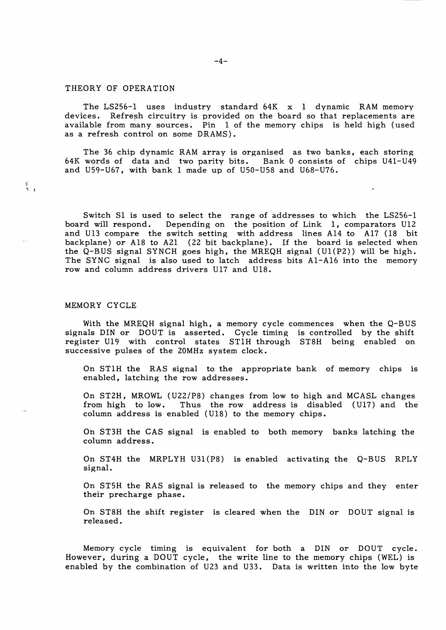# THEORY OF OPERATION

The LS2S6-I uses industry standard 64K x I dynamic RAM memory devices. Refresh circuitry is provided on the board so that replacements are available from many sources. Pin 1 of the memory chips is held high (used as a refresh control on some DRAMS).

The 36 chip dynamic RAM array is organised as two banks, each storing 64K words of data and two parity bits. Bank 0 consists of chips U41-U49 and U59-U67, with bank 1 made up of USO-US8 and U68-U76.

Switch Sl is used to select the range of addresses to which the LS256-1 board will respond. Depending on the position of Link 1, comparators U12 and Ul3 compare the switch setting with address lines AI4 to Al7 (18 bit backplane) or A18 to A21 (22 bit backplane). If the board is selected when the  $Q$ -BUS signal SYNCH goes high, the MREQH signal (U1(P2)) will be high. The SYNC signal is also used to latch address bits AI-A16 into the memory row and column address drivers U17 and U18.

## MEMORY CYCLE

 $\frac{d^2}{2}$  .

With the MREQH signal high, a memory cycle commences when the Q-BUS signals DIN or DOUT is asserted. Cycle timing is controlled by the shift register UI9 with control states ST1H through ST8H being enabled on successive pulses of the 20MHz system clock.

On ST1H the RAS signal to the appropriate bank of memory chips is enabled, latching the row addresses.

On ST2H, MROWL (U22/P8) changes from low to high and MCASL changes from high to low. Thus the row address is disabled (U17) and the Thus the row address is disabled (Ul7) and the column address is enabled (U18) to the memory chips.

On ST3H the CAS signal is enabled to both memory banks latching the column address.

On ST4H the MRPLYH U31(P8) is enabled activating the Q-BUS RPLY signal.

On ST5H the RAS signal is released to the memory chips and they enter their precharge phase.

On ST8H the shift register is cleared when the DIN or DOUT signal is released.

Memory cycle timing is equivalent for both a DIN or DOUT cycle. However, during a DOUT cycle, the write line to the memory chips (WEL) is enabled by the combination of U23 and U33. Data is written into the low byte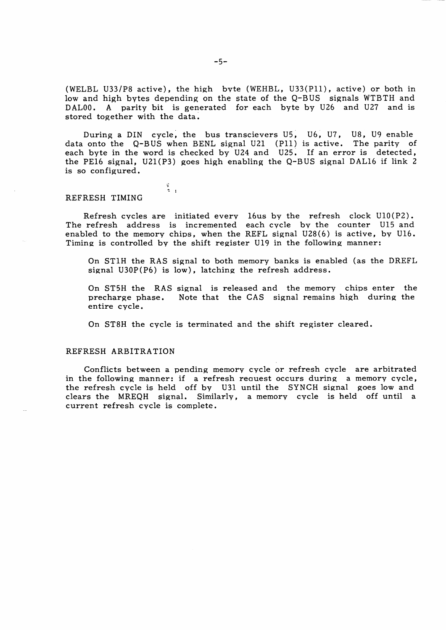(WELBL U33/P8 active), the high byte (WEHBL, U33(Pll), active) or both in low and high bytes depending on the state of the Q-BUS signals WTBTH and DALOO. A parity bit is generated for each byte by U26 and U27 and is stored together with the data.

During a DIN cycle, the bus transcievers U5, U6, U7, U8, U9 enable data onto the Q-BUS when BENL signal U21 (Pll) is active. The parity of each byte in the word is checked by U24 and U25. If an error is detected, the PE16 signal, U21(P3) goes high enabling the Q-BUS signal DALI6 if link 2 is so configured.

#### REFRESH TIMING

 $\frac{3}{2}$ 

Refresh cycles are initiated every 16us by the refresh clock UIO(P2). The refresh address is incremented each cycle by the counter UI5 and enabled to the memory chips, when the REFL signal U28(6) is active, by U16. Timing is controlled by the shift register UI9 in the following manner:

On STIH the RAS signal to both memory banks is enabled (as the DREFL signal U30P(P6) is low), latching the refresh address.

On ST5H the RAS signal is released and the memory chips enter the precharge phase. Note that the CAS signal remains high during the entire cycle.

On ST8H the cycle is terminated and the shift register cleared.

### REFRESH ARBITRA TION

Conflicts between a pending memory cycle or refresh cycle are arbitrated in the following manner: if a refresh reauest occurs during a memory cycle, the refresh cycle is held off by U3I until the SYNCH signal goes low and clears the MREQH signal. Similarly, a memory cycle is held off until a current refresh cycle is complete.